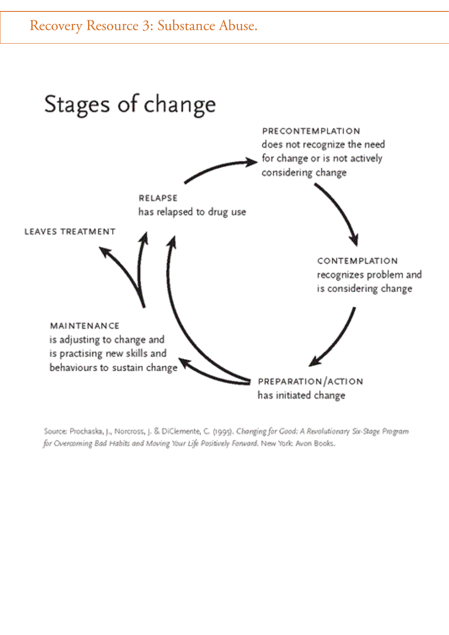

Source: Prochaska, J., Norcross, J. & DiClemente, C. (1995). Changing for Good: A Revolutionary So-Stage Program for Overcoming Bad Habits and Moving Your Life Positively Forward. New York: Avon Books.